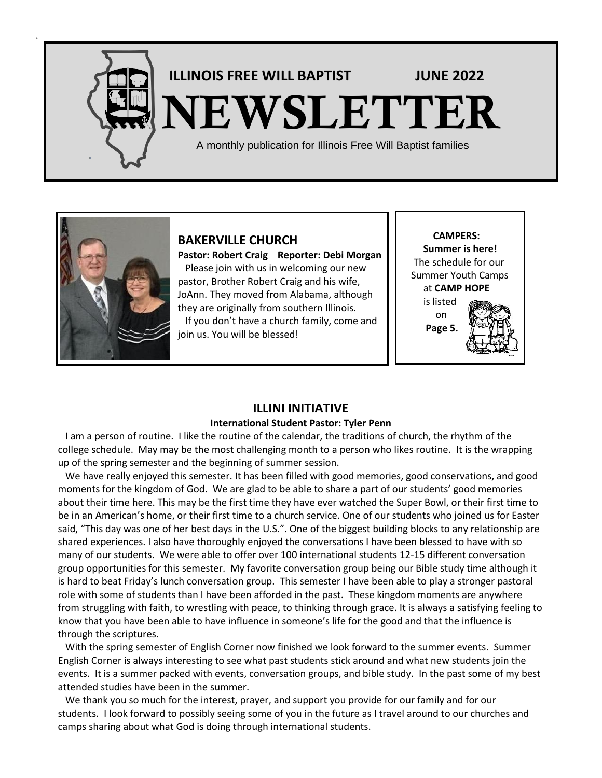

`

# **ILLINOIS FREE WILL BAPTIST JUNE <sup>2022</sup> NEWSLETTER**

A monthly publication for Illinois Free Will Baptist families



**BAKERVILLE CHURCH**

**Pastor: Robert Craig Reporter: Debi Morgan** Please join with us in welcoming our new pastor, Brother Robert Craig and his wife, JoAnn. They moved from Alabama, although they are originally from southern Illinois. If you don't have a church family, come and join us. You will be blessed!

 **CAMPERS: Summer is here!** The schedule for our Summer Youth Camps at **CAMP HOPE** is listed

 on **Page 5.**



# **ILLINI INITIATIVE**

#### **International Student Pastor: Tyler Penn**

 I am a person of routine. I like the routine of the calendar, the traditions of church, the rhythm of the college schedule. May may be the most challenging month to a person who likes routine. It is the wrapping up of the spring semester and the beginning of summer session.

 We have really enjoyed this semester. It has been filled with good memories, good conservations, and good moments for the kingdom of God. We are glad to be able to share a part of our students' good memories about their time here. This may be the first time they have ever watched the Super Bowl, or their first time to be in an American's home, or their first time to a church service. One of our students who joined us for Easter said, "This day was one of her best days in the U.S.". One of the biggest building blocks to any relationship are shared experiences. I also have thoroughly enjoyed the conversations I have been blessed to have with so many of our students. We were able to offer over 100 international students 12-15 different conversation group opportunities for this semester. My favorite conversation group being our Bible study time although it is hard to beat Friday's lunch conversation group. This semester I have been able to play a stronger pastoral role with some of students than I have been afforded in the past. These kingdom moments are anywhere from struggling with faith, to wrestling with peace, to thinking through grace. It is always a satisfying feeling to know that you have been able to have influence in someone's life for the good and that the influence is through the scriptures.

 With the spring semester of English Corner now finished we look forward to the summer events. Summer English Corner is always interesting to see what past students stick around and what new students join the events. It is a summer packed with events, conversation groups, and bible study. In the past some of my best attended studies have been in the summer.

 We thank you so much for the interest, prayer, and support you provide for our family and for our students. I look forward to possibly seeing some of you in the future as I travel around to our churches and camps sharing about what God is doing through international students.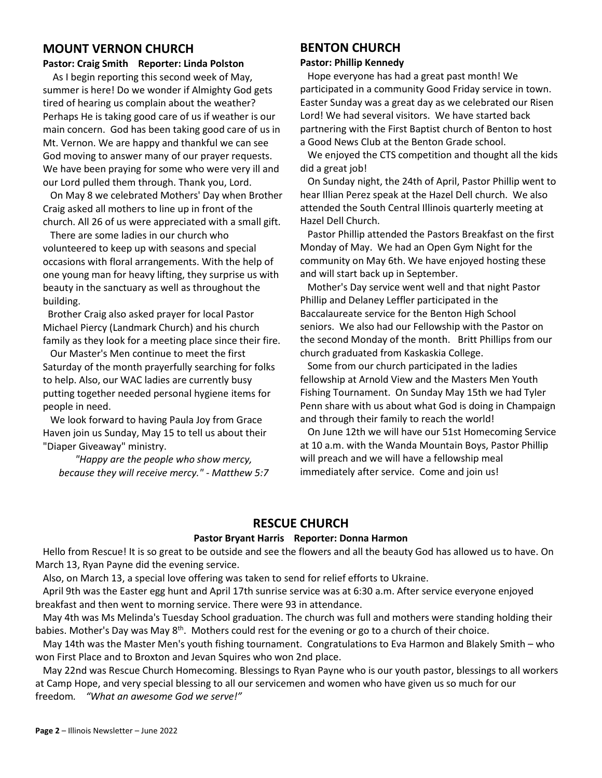#### **MOUNT VERNON CHURCH**

# **Pastor: Craig Smith Reporter: Linda Polston**

 As I begin reporting this second week of May, summer is here! Do we wonder if Almighty God gets tired of hearing us complain about the weather? Perhaps He is taking good care of us if weather is our main concern. God has been taking good care of us in Mt. Vernon. We are happy and thankful we can see God moving to answer many of our prayer requests. We have been praying for some who were very ill and our Lord pulled them through. Thank you, Lord.

 On May 8 we celebrated Mothers' Day when Brother Craig asked all mothers to line up in front of the church. All 26 of us were appreciated with a small gift.

 There are some ladies in our church who volunteered to keep up with seasons and special occasions with floral arrangements. With the help of one young man for heavy lifting, they surprise us with beauty in the sanctuary as well as throughout the building.

 Brother Craig also asked prayer for local Pastor Michael Piercy (Landmark Church) and his church family as they look for a meeting place since their fire.

 Our Master's Men continue to meet the first Saturday of the month prayerfully searching for folks to help. Also, our WAC ladies are currently busy putting together needed personal hygiene items for people in need.

We look forward to having Paula Joy from Grace Haven join us Sunday, May 15 to tell us about their "Diaper Giveaway" ministry.

*"Happy are the people who show mercy, because they will receive mercy." - Matthew 5:7*

#### **BENTON CHURCH**

#### **Pastor: Phillip Kennedy**

Hope everyone has had a great past month! We participated in a community Good Friday service in town. Easter Sunday was a great day as we celebrated our Risen Lord! We had several visitors. We have started back partnering with the First Baptist church of Benton to host a Good News Club at the Benton Grade school.

 We enjoyed the CTS competition and thought all the kids did a great job!

 On Sunday night, the 24th of April, Pastor Phillip went to hear Illian Perez speak at the Hazel Dell church. We also attended the South Central Illinois quarterly meeting at Hazel Dell Church.

 Pastor Phillip attended the Pastors Breakfast on the first Monday of May. We had an Open Gym Night for the community on May 6th. We have enjoyed hosting these and will start back up in September.

 Mother's Day service went well and that night Pastor Phillip and Delaney Leffler participated in the Baccalaureate service for the Benton High School seniors. We also had our Fellowship with the Pastor on the second Monday of the month. Britt Phillips from our church graduated from Kaskaskia College.

 Some from our church participated in the ladies fellowship at Arnold View and the Masters Men Youth Fishing Tournament. On Sunday May 15th we had Tyler Penn share with us about what God is doing in Champaign and through their family to reach the world!

 On June 12th we will have our 51st Homecoming Service at 10 a.m. with the Wanda Mountain Boys, Pastor Phillip will preach and we will have a fellowship meal immediately after service. Come and join us!

# **RESCUE CHURCH**

#### **Pastor Bryant Harris Reporter: Donna Harmon**

 Hello from Rescue! It is so great to be outside and see the flowers and all the beauty God has allowed us to have. On March 13, Ryan Payne did the evening service.

Also, on March 13, a special love offering was taken to send for relief efforts to Ukraine.

 April 9th was the Easter egg hunt and April 17th sunrise service was at 6:30 a.m. After service everyone enjoyed breakfast and then went to morning service. There were 93 in attendance.

 May 4th was Ms Melinda's Tuesday School graduation. The church was full and mothers were standing holding their babies. Mother's Day was May 8<sup>th</sup>. Mothers could rest for the evening or go to a church of their choice.

 May 14th was the Master Men's youth fishing tournament. Congratulations to Eva Harmon and Blakely Smith – who won First Place and to Broxton and Jevan Squires who won 2nd place.

 May 22nd was Rescue Church Homecoming. Blessings to Ryan Payne who is our youth pastor, blessings to all workers at Camp Hope, and very special blessing to all our servicemen and women who have given us so much for our freedom*. "What an awesome God we serve!"*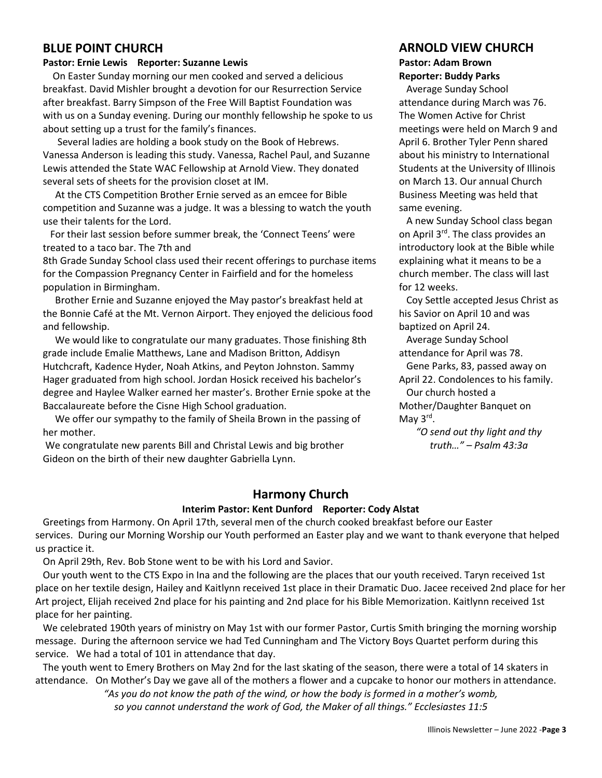#### **BLUE POINT CHURCH**

#### **Pastor: Ernie Lewis Reporter: Suzanne Lewis**

 On Easter Sunday morning our men cooked and served a delicious breakfast. David Mishler brought a devotion for our Resurrection Service after breakfast. Barry Simpson of the Free Will Baptist Foundation was with us on a Sunday evening. During our monthly fellowship he spoke to us about setting up a trust for the family's finances.

Several ladies are holding a book study on the Book of Hebrews. Vanessa Anderson is leading this study. Vanessa, Rachel Paul, and Suzanne Lewis attended the State WAC Fellowship at Arnold View. They donated several sets of sheets for the provision closet at IM.

At the CTS Competition Brother Ernie served as an emcee for Bible competition and Suzanne was a judge. It was a blessing to watch the youth use their talents for the Lord.

 For their last session before summer break, the 'Connect Teens' were treated to a taco bar. The 7th and

8th Grade Sunday School class used their recent offerings to purchase items for the Compassion Pregnancy Center in Fairfield and for the homeless population in Birmingham.

Brother Ernie and Suzanne enjoyed the May pastor's breakfast held at the Bonnie Café at the Mt. Vernon Airport. They enjoyed the delicious food and fellowship.

We would like to congratulate our many graduates. Those finishing 8th grade include Emalie Matthews, Lane and Madison Britton, Addisyn Hutchcraft, Kadence Hyder, Noah Atkins, and Peyton Johnston. Sammy Hager graduated from high school. Jordan Hosick received his bachelor's degree and Haylee Walker earned her master's. Brother Ernie spoke at the Baccalaureate before the Cisne High School graduation.

We offer our sympathy to the family of Sheila Brown in the passing of her mother.

We congratulate new parents Bill and Christal Lewis and big brother Gideon on the birth of their new daughter Gabriella Lynn.

#### **ARNOLD VIEW CHURCH Pastor: Adam Brown Reporter: Buddy Parks**

 Average Sunday School attendance during March was 76. The Women Active for Christ meetings were held on March 9 and April 6. Brother Tyler Penn shared about his ministry to International Students at the University of Illinois on March 13. Our annual Church Business Meeting was held that same evening.

 A new Sunday School class began on April 3rd. The class provides an introductory look at the Bible while explaining what it means to be a church member. The class will last for 12 weeks.

 Coy Settle accepted Jesus Christ as his Savior on April 10 and was baptized on April 24.

 Average Sunday School attendance for April was 78.

 Gene Parks, 83, passed away on April 22. Condolences to his family. Our church hosted a Mother/Daughter Banquet on May 3<sup>rd</sup>.

> *"O send out thy light and thy truth…" – Psalm 43:3a*

# **Harmony Church**

#### **Interim Pastor: Kent Dunford Reporter: Cody Alstat**

 Greetings from Harmony. On April 17th, several men of the church cooked breakfast before our Easter services. During our Morning Worship our Youth performed an Easter play and we want to thank everyone that helped us practice it.

On April 29th, Rev. Bob Stone went to be with his Lord and Savior.

 Our youth went to the CTS Expo in Ina and the following are the places that our youth received. Taryn received 1st place on her textile design, Hailey and Kaitlynn received 1st place in their Dramatic Duo. Jacee received 2nd place for her Art project, Elijah received 2nd place for his painting and 2nd place for his Bible Memorization. Kaitlynn received 1st place for her painting.

 We celebrated 190th years of ministry on May 1st with our former Pastor, Curtis Smith bringing the morning worship message. During the afternoon service we had Ted Cunningham and The Victory Boys Quartet perform during this service. We had a total of 101 in attendance that day.

 The youth went to Emery Brothers on May 2nd for the last skating of the season, there were a total of 14 skaters in attendance. On Mother's Day we gave all of the mothers a flower and a cupcake to honor our mothers in attendance.

> *"As you do not know the path of the wind, or how the body is formed in a mother's womb, so you cannot understand the work of God, the Maker of all things." Ecclesiastes 11:5*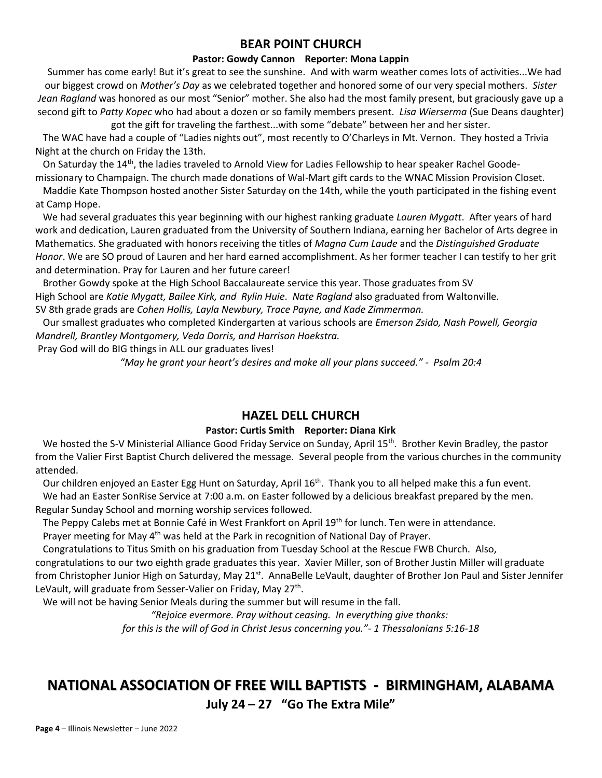#### **BEAR POINT CHURCH**

#### **Pastor: Gowdy Cannon Reporter: Mona Lappin**

Summer has come early! But it's great to see the sunshine. And with warm weather comes lots of activities...We had our biggest crowd on *Mother's Day* as we celebrated together and honored some of our very special mothers. *Sister Jean Ragland* was honored as our most "Senior" mother. She also had the most family present, but graciously gave up a second gift to *Patty Kopec* who had about a dozen or so family members present. *Lisa Wierserma* (Sue Deans daughter) got the gift for traveling the farthest...with some "debate" between her and her sister.

The WAC have had a couple of "Ladies nights out", most recently to O'Charleys in Mt. Vernon. They hosted a Trivia Night at the church on Friday the 13th.

On Saturday the 14<sup>th</sup>, the ladies traveled to Arnold View for Ladies Fellowship to hear speaker Rachel Goodemissionary to Champaign. The church made donations of Wal-Mart gift cards to the WNAC Mission Provision Closet.

Maddie Kate Thompson hosted another Sister Saturday on the 14th, while the youth participated in the fishing event at Camp Hope.

We had several graduates this year beginning with our highest ranking graduate *Lauren Mygatt*. After years of hard work and dedication, Lauren graduated from the University of Southern Indiana, earning her Bachelor of Arts degree in Mathematics. She graduated with honors receiving the titles of *Magna Cum Laude* and the *Distinguished Graduate Honor*. We are SO proud of Lauren and her hard earned accomplishment. As her former teacher I can testify to her grit and determination. Pray for Lauren and her future career!

 Brother Gowdy spoke at the High School Baccalaureate service this year. Those graduates from SV High School are *Katie Mygatt, Bailee Kirk, and Rylin Huie*. *Nate Ragland* also graduated from Waltonville. SV 8th grade grads are *Cohen Hollis, Layla Newbury, Trace Payne, and Kade Zimmerman.*

 Our smallest graduates who completed Kindergarten at various schools are *Emerson Zsido, Nash Powell, Georgia Mandrell, Brantley Montgomery, Veda Dorris, and Harrison Hoekstra.*

Pray God will do BIG things in ALL our graduates lives!

*"May he grant your heart's desires and make all your plans succeed." - Psalm 20:4*

#### **HAZEL DELL CHURCH**

#### **Pastor: Curtis Smith Reporter: Diana Kirk**

We hosted the S-V Ministerial Alliance Good Friday Service on Sunday, April 15<sup>th</sup>. Brother Kevin Bradley, the pastor from the Valier First Baptist Church delivered the message. Several people from the various churches in the community attended.

Our children enjoyed an Easter Egg Hunt on Saturday, April 16<sup>th</sup>. Thank you to all helped make this a fun event. We had an Easter SonRise Service at 7:00 a.m. on Easter followed by a delicious breakfast prepared by the men.

Regular Sunday School and morning worship services followed.

The Peppy Calebs met at Bonnie Café in West Frankfort on April 19<sup>th</sup> for lunch. Ten were in attendance.

Prayer meeting for May 4<sup>th</sup> was held at the Park in recognition of National Day of Prayer.

Congratulations to Titus Smith on his graduation from Tuesday School at the Rescue FWB Church. Also,

congratulations to our two eighth grade graduates this year. Xavier Miller, son of Brother Justin Miller will graduate from Christopher Junior High on Saturday, May 21<sup>st</sup>. AnnaBelle LeVault, daughter of Brother Jon Paul and Sister Jennifer LeVault, will graduate from Sesser-Valier on Friday, May 27<sup>th</sup>.

We will not be having Senior Meals during the summer but will resume in the fall.

*"Rejoice evermore. Pray without ceasing. In everything give thanks: for this is the will of God in Christ Jesus concerning you."- 1 Thessalonians 5:16-18*

# **NATIONAL ASSOCIATION OF FREE WILL BAPTISTS - BIRMINGHAM, ALABAMA**

**July 24 – 27 "Go The Extra Mile"**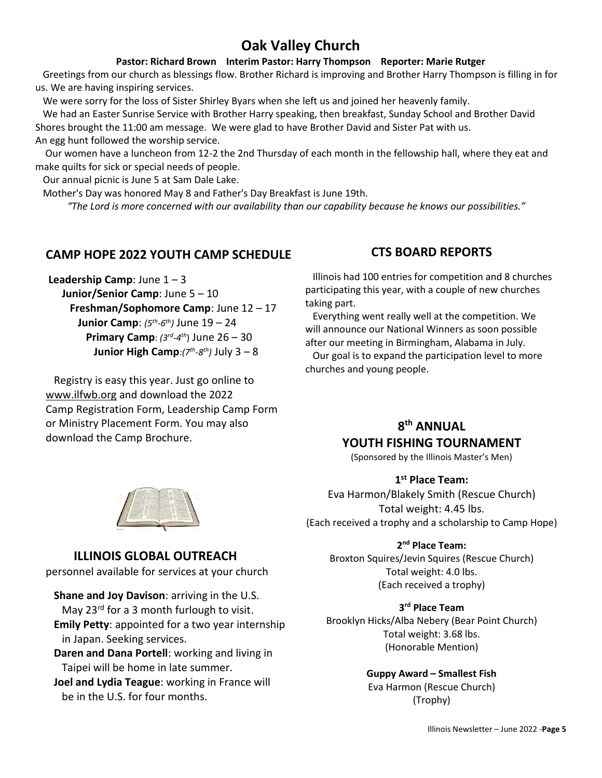# **Oak Valley Church**

#### **Pastor: Richard Brown Interim Pastor: Harry Thompson Reporter: Marie Rutger**

 Greetings from our church as blessings flow. Brother Richard is improving and Brother Harry Thompson is filling in for us. We are having inspiring services.

We were sorry for the loss of Sister Shirley Byars when she left us and joined her heavenly family.

 We had an Easter Sunrise Service with Brother Harry speaking, then breakfast, Sunday School and Brother David Shores brought the 11:00 am message. We were glad to have Brother David and Sister Pat with us.

An egg hunt followed the worship service.

 Our women have a luncheon from 12-2 the 2nd Thursday of each month in the fellowship hall, where they eat and make quilts for sick or special needs of people.

Our annual picnic is June 5 at Sam Dale Lake.

Mother's Day was honored May 8 and Father's Day Breakfast is June 19th.

 *"The Lord is more concerned with our availability than our capability because he knows our possibilities."* 

#### **CAMP HOPE 2022 YOUTH CAMP SCHEDULE**

**Leadership Camp**: June  $1 - 3$  **Junior/Senior Camp**: June 5 – 10 **Freshman/Sophomore Camp**: June 12 – 17 **Junior Camp**:  $(5<sup>th</sup>-6<sup>th</sup>)$  June 19 – 24  **Primary Camp**: *(3rd -4 th*) June 26 – 30 *Junior High Camp:(7<sup>th</sup>-8<sup>th</sup>)</sub> July 3 – 8* 

 Registry is easy this year. Just go online to www.ilfwb.org and download the 2022 Camp Registration Form, Leadership Camp Form or Ministry Placement Form. You may also download the Camp Brochure.

#### **CTS BOARD REPORTS**

 Illinois had 100 entries for competition and 8 churches participating this year, with a couple of new churches taking part.

 Everything went really well at the competition. We will announce our National Winners as soon possible after our meeting in Birmingham, Alabama in July.

 Our goal is to expand the participation level to more churches and young people.

# **8 th ANNUAL**

# **YOUTH FISHING TOURNAMENT**

(Sponsored by the Illinois Master's Men)

#### **1 st Place Team:**

Eva Harmon/Blakely Smith (Rescue Church) Total weight: 4.45 lbs. (Each received a trophy and a scholarship to Camp Hope)

#### **2 nd Place Team:**

Broxton Squires/Jevin Squires (Rescue Church) Total weight: 4.0 lbs. (Each received a trophy)

# **3 rd Place Team**

Brooklyn Hicks/Alba Nebery (Bear Point Church) Total weight: 3.68 lbs. (Honorable Mention)

> **Guppy Award – Smallest Fish** Eva Harmon (Rescue Church) (Trophy)



# **ILLINOIS GLOBAL OUTREACH**

personnel available for services at your church

- **Shane and Joy Davison**: arriving in the U.S. May 23<sup>rd</sup> for a 3 month furlough to visit.
- **Emily Petty**: appointed for a two year internship in Japan. Seeking services.
- **Daren and Dana Portell**: working and living in Taipei will be home in late summer.
- **Joel and Lydia Teague**: working in France will be in the U.S. for four months.